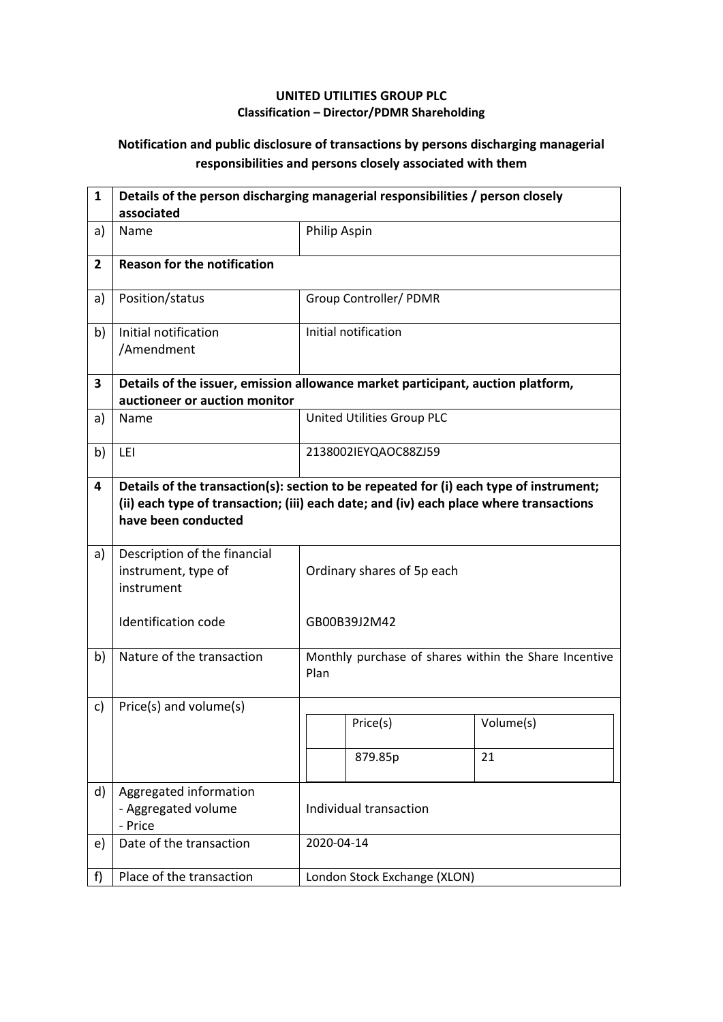## **UNITED UTILITIES GROUP PLC Classification – Director/PDMR Shareholding**

## **Notification and public disclosure of transactions by persons discharging managerial responsibilities and persons closely associated with them**

| $\mathbf{1}$   | Details of the person discharging managerial responsibilities / person closely<br>associated                     |                                                                                                                                                                                  |                                                       |           |  |  |
|----------------|------------------------------------------------------------------------------------------------------------------|----------------------------------------------------------------------------------------------------------------------------------------------------------------------------------|-------------------------------------------------------|-----------|--|--|
| a)             | Name                                                                                                             | Philip Aspin                                                                                                                                                                     |                                                       |           |  |  |
| $\overline{2}$ | <b>Reason for the notification</b>                                                                               |                                                                                                                                                                                  |                                                       |           |  |  |
| a)             | Position/status                                                                                                  |                                                                                                                                                                                  | Group Controller/ PDMR                                |           |  |  |
| b)             | Initial notification<br>/Amendment                                                                               |                                                                                                                                                                                  | Initial notification                                  |           |  |  |
| 3              | Details of the issuer, emission allowance market participant, auction platform,<br>auctioneer or auction monitor |                                                                                                                                                                                  |                                                       |           |  |  |
| a)             | Name                                                                                                             |                                                                                                                                                                                  | United Utilities Group PLC                            |           |  |  |
| b)             | LEI                                                                                                              | 2138002IEYQAOC88ZJ59                                                                                                                                                             |                                                       |           |  |  |
| 4              | have been conducted                                                                                              | Details of the transaction(s): section to be repeated for (i) each type of instrument;<br>(ii) each type of transaction; (iii) each date; and (iv) each place where transactions |                                                       |           |  |  |
| a)             | Description of the financial<br>instrument, type of<br>instrument                                                | Ordinary shares of 5p each                                                                                                                                                       |                                                       |           |  |  |
|                | <b>Identification code</b>                                                                                       |                                                                                                                                                                                  | GB00B39J2M42                                          |           |  |  |
| b)             | Nature of the transaction                                                                                        | Plan                                                                                                                                                                             | Monthly purchase of shares within the Share Incentive |           |  |  |
| c)             | Price(s) and volume(s)                                                                                           |                                                                                                                                                                                  |                                                       |           |  |  |
|                |                                                                                                                  |                                                                                                                                                                                  | Price(s)                                              | Volume(s) |  |  |
|                |                                                                                                                  |                                                                                                                                                                                  | 879.85p                                               | 21        |  |  |
| d)             | Aggregated information<br>- Aggregated volume<br>- Price                                                         | Individual transaction                                                                                                                                                           |                                                       |           |  |  |
| e)             | Date of the transaction                                                                                          |                                                                                                                                                                                  | 2020-04-14                                            |           |  |  |
| f)             | Place of the transaction                                                                                         |                                                                                                                                                                                  | London Stock Exchange (XLON)                          |           |  |  |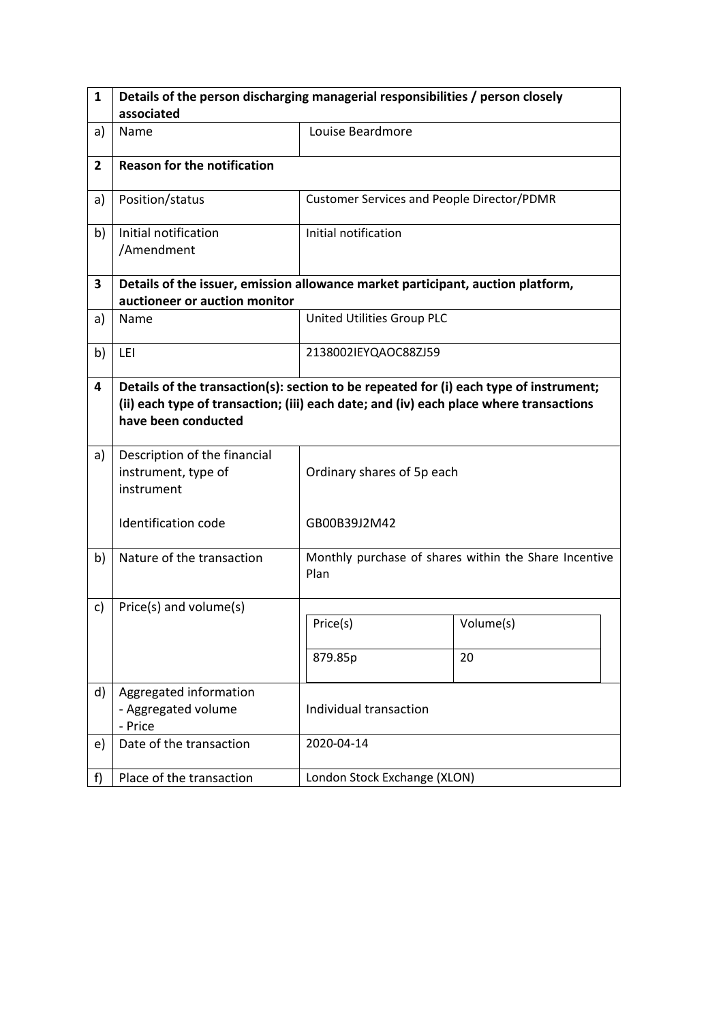| $\mathbf{1}$   | Details of the person discharging managerial responsibilities / person closely                                                                                                                          |                                                   |                                                       |  |  |  |
|----------------|---------------------------------------------------------------------------------------------------------------------------------------------------------------------------------------------------------|---------------------------------------------------|-------------------------------------------------------|--|--|--|
|                | associated                                                                                                                                                                                              |                                                   |                                                       |  |  |  |
| a)             | Name                                                                                                                                                                                                    | Louise Beardmore                                  |                                                       |  |  |  |
| $\overline{2}$ | <b>Reason for the notification</b>                                                                                                                                                                      |                                                   |                                                       |  |  |  |
| a)             | Position/status                                                                                                                                                                                         | <b>Customer Services and People Director/PDMR</b> |                                                       |  |  |  |
| b)             | Initial notification<br>/Amendment                                                                                                                                                                      | Initial notification                              |                                                       |  |  |  |
| 3              | Details of the issuer, emission allowance market participant, auction platform,<br>auctioneer or auction monitor                                                                                        |                                                   |                                                       |  |  |  |
| a)             | Name                                                                                                                                                                                                    | United Utilities Group PLC                        |                                                       |  |  |  |
| b)             | LEI                                                                                                                                                                                                     | 2138002IEYQAOC88ZJ59                              |                                                       |  |  |  |
| 4              | Details of the transaction(s): section to be repeated for (i) each type of instrument;<br>(ii) each type of transaction; (iii) each date; and (iv) each place where transactions<br>have been conducted |                                                   |                                                       |  |  |  |
| a)             | Description of the financial<br>instrument, type of<br>instrument                                                                                                                                       | Ordinary shares of 5p each                        |                                                       |  |  |  |
|                | Identification code                                                                                                                                                                                     | GB00B39J2M42                                      |                                                       |  |  |  |
| b)             | Nature of the transaction                                                                                                                                                                               | Plan                                              | Monthly purchase of shares within the Share Incentive |  |  |  |
| c)             | Price(s) and volume(s)                                                                                                                                                                                  |                                                   |                                                       |  |  |  |
|                |                                                                                                                                                                                                         | Price(s)                                          | Volume(s)                                             |  |  |  |
|                |                                                                                                                                                                                                         | 879.85p                                           | 20                                                    |  |  |  |
| d)             | Aggregated information<br>- Aggregated volume<br>- Price                                                                                                                                                | Individual transaction                            |                                                       |  |  |  |
| e)             | Date of the transaction                                                                                                                                                                                 | 2020-04-14                                        |                                                       |  |  |  |
| f)             | Place of the transaction                                                                                                                                                                                | London Stock Exchange (XLON)                      |                                                       |  |  |  |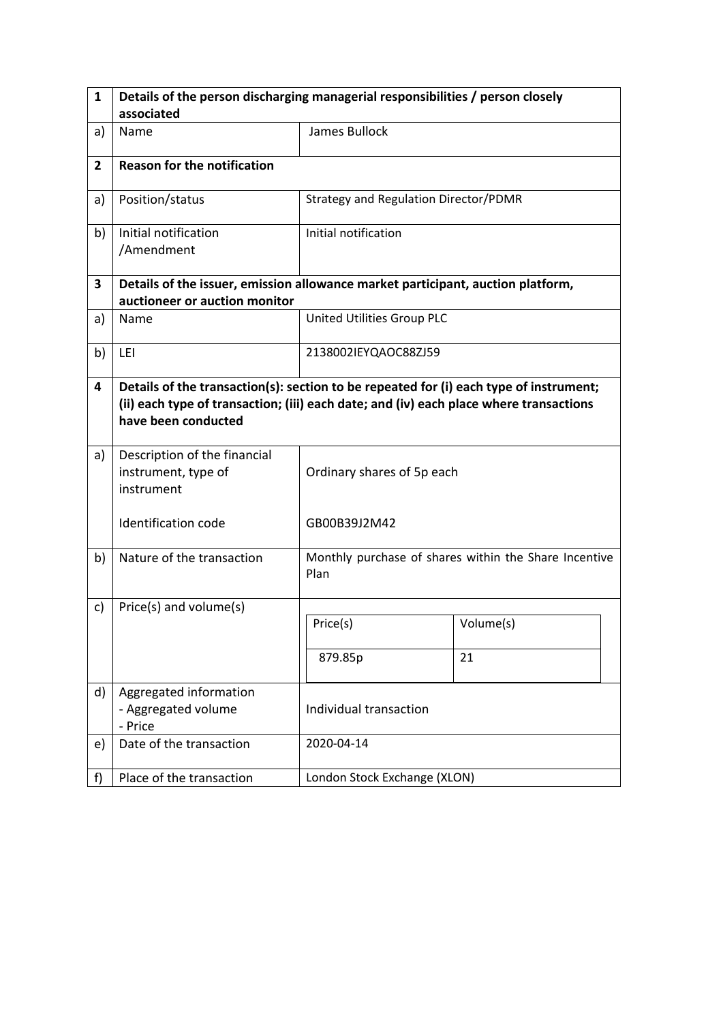| $\mathbf{1}$   | Details of the person discharging managerial responsibilities / person closely                                                                                                                          |                                       |                                                       |  |  |  |
|----------------|---------------------------------------------------------------------------------------------------------------------------------------------------------------------------------------------------------|---------------------------------------|-------------------------------------------------------|--|--|--|
|                | associated                                                                                                                                                                                              |                                       |                                                       |  |  |  |
| a)             | Name                                                                                                                                                                                                    | James Bullock                         |                                                       |  |  |  |
| $\overline{2}$ | <b>Reason for the notification</b>                                                                                                                                                                      |                                       |                                                       |  |  |  |
| a)             | Position/status                                                                                                                                                                                         | Strategy and Regulation Director/PDMR |                                                       |  |  |  |
| b)             | Initial notification<br>/Amendment                                                                                                                                                                      | Initial notification                  |                                                       |  |  |  |
| 3              | Details of the issuer, emission allowance market participant, auction platform,<br>auctioneer or auction monitor                                                                                        |                                       |                                                       |  |  |  |
| a)             | Name                                                                                                                                                                                                    | United Utilities Group PLC            |                                                       |  |  |  |
| b)             | LEI                                                                                                                                                                                                     | 2138002IEYQAOC88ZJ59                  |                                                       |  |  |  |
| 4              | Details of the transaction(s): section to be repeated for (i) each type of instrument;<br>(ii) each type of transaction; (iii) each date; and (iv) each place where transactions<br>have been conducted |                                       |                                                       |  |  |  |
| a)             | Description of the financial<br>instrument, type of<br>instrument                                                                                                                                       | Ordinary shares of 5p each            |                                                       |  |  |  |
|                | Identification code                                                                                                                                                                                     | GB00B39J2M42                          |                                                       |  |  |  |
| b)             | Nature of the transaction                                                                                                                                                                               | Plan                                  | Monthly purchase of shares within the Share Incentive |  |  |  |
| c)             | Price(s) and volume(s)                                                                                                                                                                                  |                                       |                                                       |  |  |  |
|                |                                                                                                                                                                                                         | Price(s)                              | Volume(s)                                             |  |  |  |
|                |                                                                                                                                                                                                         | 879.85p                               | 21                                                    |  |  |  |
| d)             | Aggregated information<br>- Aggregated volume<br>- Price                                                                                                                                                | Individual transaction                |                                                       |  |  |  |
| e)             | Date of the transaction                                                                                                                                                                                 | 2020-04-14                            |                                                       |  |  |  |
| f)             | Place of the transaction                                                                                                                                                                                | London Stock Exchange (XLON)          |                                                       |  |  |  |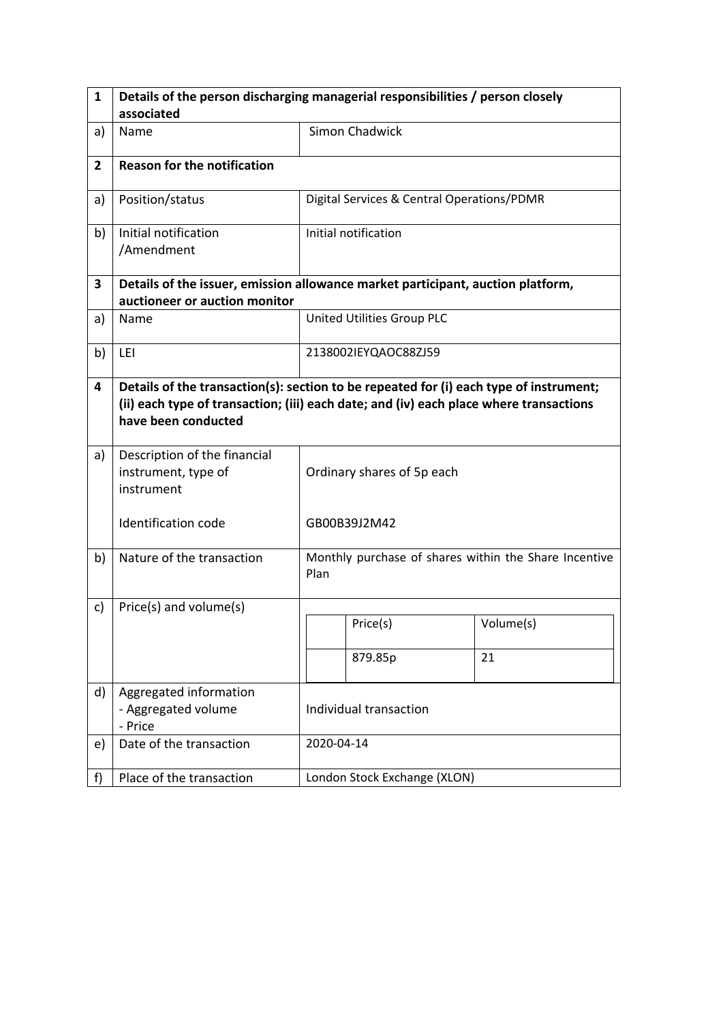| $\mathbf{1}$   | Details of the person discharging managerial responsibilities / person closely                                                                                                                          |                            |                                            |                                                       |  |
|----------------|---------------------------------------------------------------------------------------------------------------------------------------------------------------------------------------------------------|----------------------------|--------------------------------------------|-------------------------------------------------------|--|
|                | associated                                                                                                                                                                                              |                            |                                            |                                                       |  |
| a)             | Name                                                                                                                                                                                                    |                            | <b>Simon Chadwick</b>                      |                                                       |  |
| $\overline{2}$ | <b>Reason for the notification</b>                                                                                                                                                                      |                            |                                            |                                                       |  |
| a)             | Position/status                                                                                                                                                                                         |                            | Digital Services & Central Operations/PDMR |                                                       |  |
| b)             | Initial notification<br>/Amendment                                                                                                                                                                      |                            | Initial notification                       |                                                       |  |
| 3              | Details of the issuer, emission allowance market participant, auction platform,<br>auctioneer or auction monitor                                                                                        |                            |                                            |                                                       |  |
| a)             | Name                                                                                                                                                                                                    |                            | United Utilities Group PLC                 |                                                       |  |
| b)             | LEI                                                                                                                                                                                                     |                            | 2138002IEYQAOC88ZJ59                       |                                                       |  |
| 4              | Details of the transaction(s): section to be repeated for (i) each type of instrument;<br>(ii) each type of transaction; (iii) each date; and (iv) each place where transactions<br>have been conducted |                            |                                            |                                                       |  |
| a)             | Description of the financial<br>instrument, type of<br>instrument                                                                                                                                       | Ordinary shares of 5p each |                                            |                                                       |  |
|                | Identification code                                                                                                                                                                                     |                            | GB00B39J2M42                               |                                                       |  |
| b)             | Nature of the transaction                                                                                                                                                                               | Plan                       |                                            | Monthly purchase of shares within the Share Incentive |  |
| c)             | Price(s) and volume(s)                                                                                                                                                                                  |                            |                                            |                                                       |  |
|                |                                                                                                                                                                                                         |                            | Price(s)                                   | Volume(s)                                             |  |
|                |                                                                                                                                                                                                         |                            | 879.85p                                    | 21                                                    |  |
| d)             | Aggregated information<br>- Aggregated volume<br>- Price                                                                                                                                                | Individual transaction     |                                            |                                                       |  |
| e)             | Date of the transaction                                                                                                                                                                                 |                            | 2020-04-14                                 |                                                       |  |
| f)             | Place of the transaction                                                                                                                                                                                |                            | London Stock Exchange (XLON)               |                                                       |  |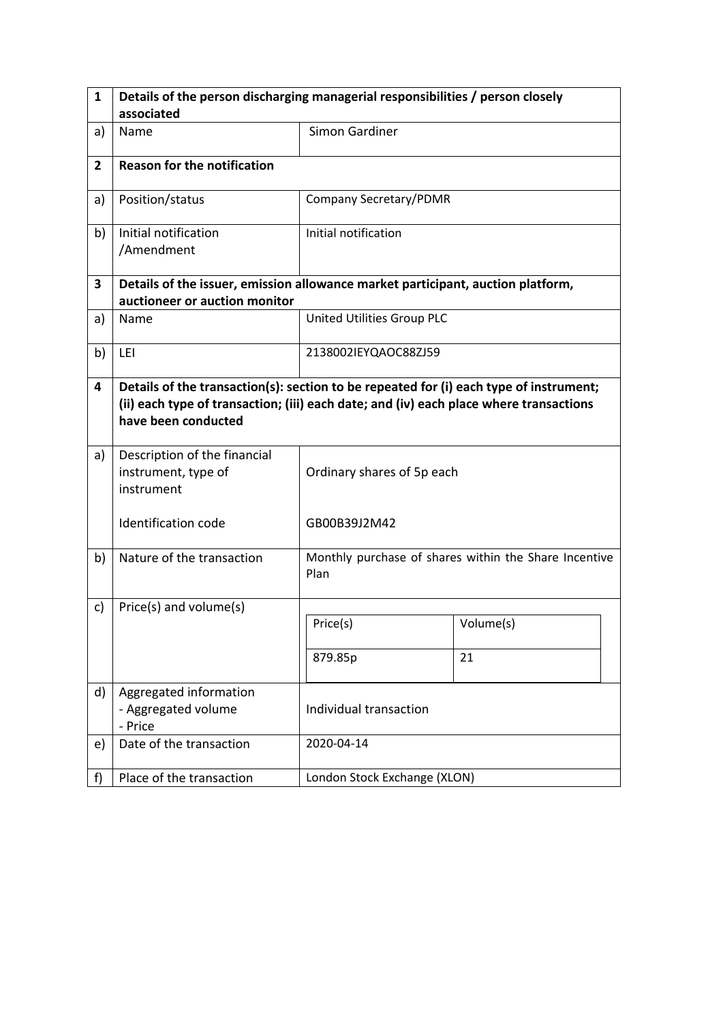| $\mathbf{1}$   | Details of the person discharging managerial responsibilities / person closely                                                                                                                          |                              |                                                       |  |  |  |
|----------------|---------------------------------------------------------------------------------------------------------------------------------------------------------------------------------------------------------|------------------------------|-------------------------------------------------------|--|--|--|
|                | associated                                                                                                                                                                                              |                              |                                                       |  |  |  |
| a)             | Name                                                                                                                                                                                                    | <b>Simon Gardiner</b>        |                                                       |  |  |  |
| $\overline{2}$ | <b>Reason for the notification</b>                                                                                                                                                                      |                              |                                                       |  |  |  |
| a)             | Position/status                                                                                                                                                                                         | Company Secretary/PDMR       |                                                       |  |  |  |
| b)             | Initial notification<br>/Amendment                                                                                                                                                                      | Initial notification         |                                                       |  |  |  |
| 3              | Details of the issuer, emission allowance market participant, auction platform,<br>auctioneer or auction monitor                                                                                        |                              |                                                       |  |  |  |
| a)             | Name                                                                                                                                                                                                    | United Utilities Group PLC   |                                                       |  |  |  |
| b)             | LEI                                                                                                                                                                                                     | 2138002IEYQAOC88ZJ59         |                                                       |  |  |  |
| 4              | Details of the transaction(s): section to be repeated for (i) each type of instrument;<br>(ii) each type of transaction; (iii) each date; and (iv) each place where transactions<br>have been conducted |                              |                                                       |  |  |  |
| a)             | Description of the financial<br>instrument, type of<br>instrument                                                                                                                                       | Ordinary shares of 5p each   |                                                       |  |  |  |
|                | Identification code                                                                                                                                                                                     | GB00B39J2M42                 |                                                       |  |  |  |
| b)             | Nature of the transaction                                                                                                                                                                               | Plan                         | Monthly purchase of shares within the Share Incentive |  |  |  |
| c)             | Price(s) and volume(s)                                                                                                                                                                                  |                              |                                                       |  |  |  |
|                |                                                                                                                                                                                                         | Price(s)                     | Volume(s)                                             |  |  |  |
|                |                                                                                                                                                                                                         | 879.85p                      | 21                                                    |  |  |  |
| d)             | Aggregated information<br>- Aggregated volume<br>- Price                                                                                                                                                | Individual transaction       |                                                       |  |  |  |
| e)             | Date of the transaction                                                                                                                                                                                 | 2020-04-14                   |                                                       |  |  |  |
| f)             | Place of the transaction                                                                                                                                                                                | London Stock Exchange (XLON) |                                                       |  |  |  |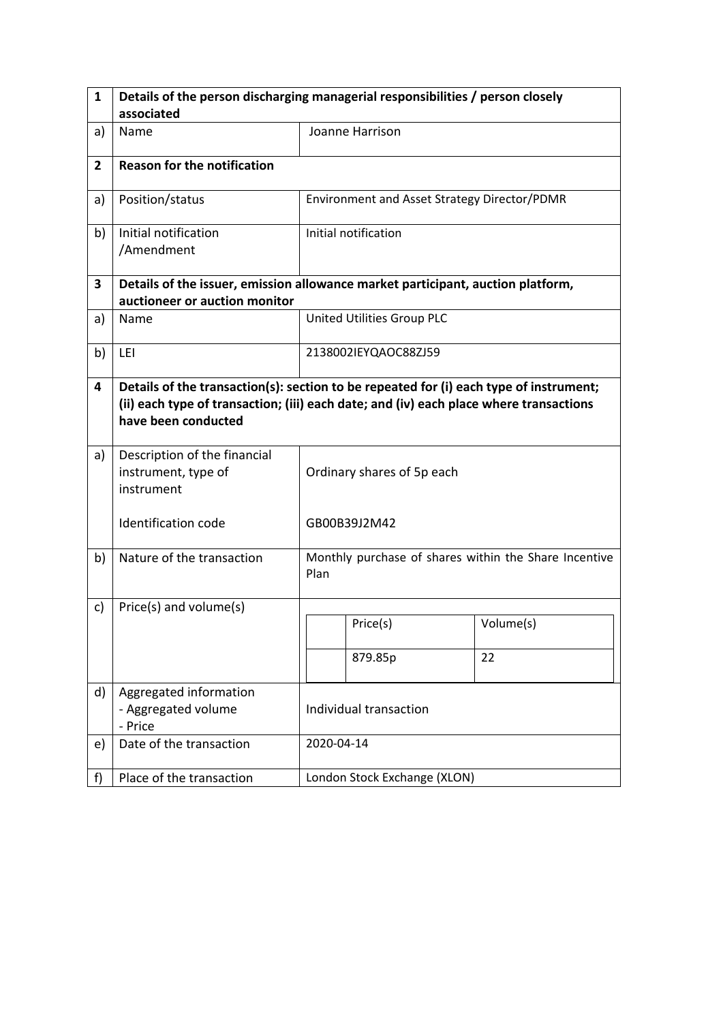| 1              | Details of the person discharging managerial responsibilities / person closely                                                                                                                          |                            |                                                       |           |  |
|----------------|---------------------------------------------------------------------------------------------------------------------------------------------------------------------------------------------------------|----------------------------|-------------------------------------------------------|-----------|--|
|                | associated                                                                                                                                                                                              |                            |                                                       |           |  |
| a)             | Name                                                                                                                                                                                                    |                            | Joanne Harrison                                       |           |  |
| $\overline{2}$ | <b>Reason for the notification</b>                                                                                                                                                                      |                            |                                                       |           |  |
| a)             | Position/status                                                                                                                                                                                         |                            | Environment and Asset Strategy Director/PDMR          |           |  |
| b)             | Initial notification<br>/Amendment                                                                                                                                                                      |                            | Initial notification                                  |           |  |
| 3              | Details of the issuer, emission allowance market participant, auction platform,<br>auctioneer or auction monitor                                                                                        |                            |                                                       |           |  |
| a)             | Name                                                                                                                                                                                                    |                            | United Utilities Group PLC                            |           |  |
| b)             | LEI                                                                                                                                                                                                     |                            | 2138002IEYQAOC88ZJ59                                  |           |  |
| 4              | Details of the transaction(s): section to be repeated for (i) each type of instrument;<br>(ii) each type of transaction; (iii) each date; and (iv) each place where transactions<br>have been conducted |                            |                                                       |           |  |
| a)             | Description of the financial<br>instrument, type of<br>instrument                                                                                                                                       | Ordinary shares of 5p each |                                                       |           |  |
|                | <b>Identification code</b>                                                                                                                                                                              |                            | GB00B39J2M42                                          |           |  |
| b)             | Nature of the transaction                                                                                                                                                                               | Plan                       | Monthly purchase of shares within the Share Incentive |           |  |
| c)             | Price(s) and volume(s)                                                                                                                                                                                  |                            |                                                       |           |  |
|                |                                                                                                                                                                                                         |                            | Price(s)                                              | Volume(s) |  |
|                |                                                                                                                                                                                                         |                            | 879.85p                                               | 22        |  |
| d)             | Aggregated information<br>- Aggregated volume<br>- Price                                                                                                                                                | Individual transaction     |                                                       |           |  |
| e)             | Date of the transaction                                                                                                                                                                                 |                            | 2020-04-14                                            |           |  |
| f)             | Place of the transaction                                                                                                                                                                                |                            | London Stock Exchange (XLON)                          |           |  |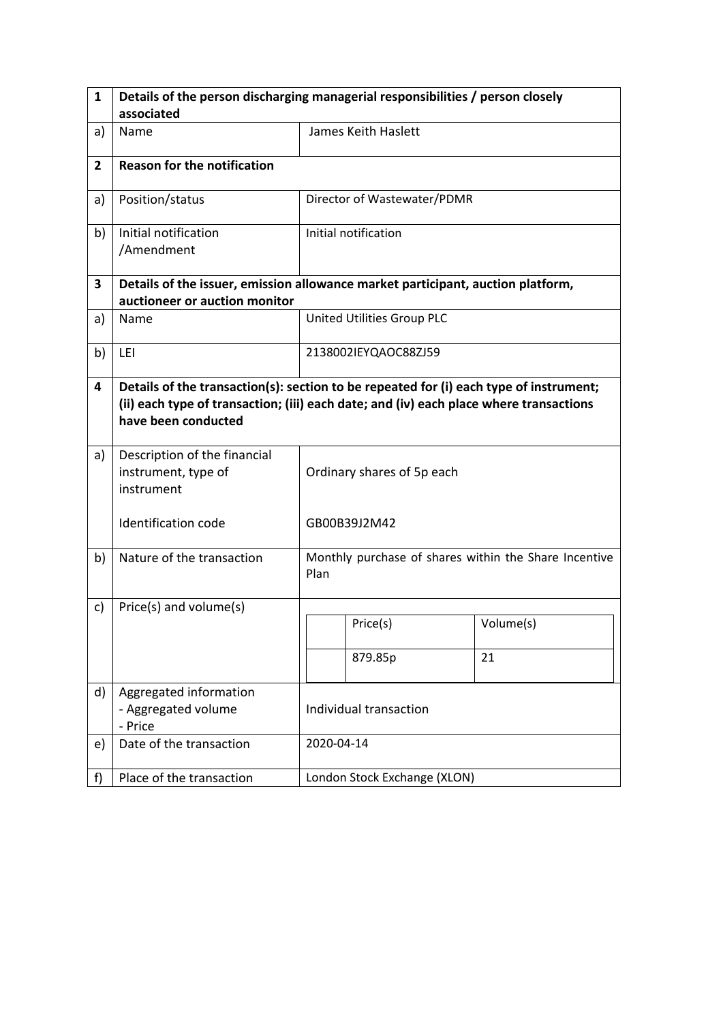| $\mathbf{1}$   | Details of the person discharging managerial responsibilities / person closely                                                                                                                          |                            |                                                       |           |  |
|----------------|---------------------------------------------------------------------------------------------------------------------------------------------------------------------------------------------------------|----------------------------|-------------------------------------------------------|-----------|--|
|                | associated                                                                                                                                                                                              |                            |                                                       |           |  |
| a)             | Name                                                                                                                                                                                                    |                            | James Keith Haslett                                   |           |  |
| $\overline{2}$ | <b>Reason for the notification</b>                                                                                                                                                                      |                            |                                                       |           |  |
| a)             | Position/status                                                                                                                                                                                         |                            | Director of Wastewater/PDMR                           |           |  |
| b)             | Initial notification<br>/Amendment                                                                                                                                                                      |                            | Initial notification                                  |           |  |
| 3              | Details of the issuer, emission allowance market participant, auction platform,<br>auctioneer or auction monitor                                                                                        |                            |                                                       |           |  |
| a)             | Name                                                                                                                                                                                                    |                            | United Utilities Group PLC                            |           |  |
| b)             | LEI                                                                                                                                                                                                     |                            | 2138002IEYQAOC88ZJ59                                  |           |  |
| 4              | Details of the transaction(s): section to be repeated for (i) each type of instrument;<br>(ii) each type of transaction; (iii) each date; and (iv) each place where transactions<br>have been conducted |                            |                                                       |           |  |
| a)             | Description of the financial<br>instrument, type of<br>instrument                                                                                                                                       | Ordinary shares of 5p each |                                                       |           |  |
|                | <b>Identification code</b>                                                                                                                                                                              |                            | GB00B39J2M42                                          |           |  |
| b)             | Nature of the transaction                                                                                                                                                                               | Plan                       | Monthly purchase of shares within the Share Incentive |           |  |
| c)             | Price(s) and volume(s)                                                                                                                                                                                  |                            |                                                       |           |  |
|                |                                                                                                                                                                                                         |                            | Price(s)                                              | Volume(s) |  |
|                |                                                                                                                                                                                                         |                            | 879.85p                                               | 21        |  |
| d)             | Aggregated information<br>- Aggregated volume<br>- Price                                                                                                                                                | Individual transaction     |                                                       |           |  |
| e)             | Date of the transaction                                                                                                                                                                                 |                            | 2020-04-14                                            |           |  |
| f)             | Place of the transaction                                                                                                                                                                                |                            | London Stock Exchange (XLON)                          |           |  |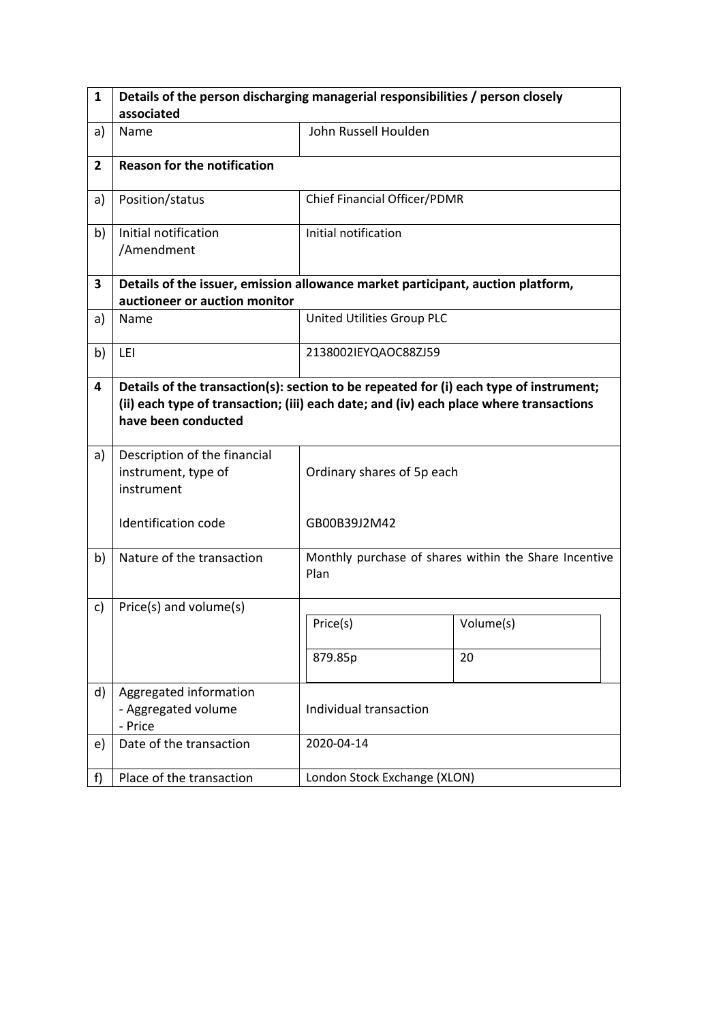| $\mathbf{1}$   | Details of the person discharging managerial responsibilities / person closely                                                                                                                          |                              |                                                       |  |  |  |
|----------------|---------------------------------------------------------------------------------------------------------------------------------------------------------------------------------------------------------|------------------------------|-------------------------------------------------------|--|--|--|
|                | associated                                                                                                                                                                                              |                              |                                                       |  |  |  |
| a)             | Name                                                                                                                                                                                                    | John Russell Houlden         |                                                       |  |  |  |
| $\overline{2}$ | <b>Reason for the notification</b>                                                                                                                                                                      |                              |                                                       |  |  |  |
| a)             | Position/status                                                                                                                                                                                         | Chief Financial Officer/PDMR |                                                       |  |  |  |
| b)             | Initial notification<br>/Amendment                                                                                                                                                                      | Initial notification         |                                                       |  |  |  |
| 3              | Details of the issuer, emission allowance market participant, auction platform,<br>auctioneer or auction monitor                                                                                        |                              |                                                       |  |  |  |
| a)             | Name                                                                                                                                                                                                    | United Utilities Group PLC   |                                                       |  |  |  |
| b)             | LEI                                                                                                                                                                                                     | 2138002IEYQAOC88ZJ59         |                                                       |  |  |  |
| 4              | Details of the transaction(s): section to be repeated for (i) each type of instrument;<br>(ii) each type of transaction; (iii) each date; and (iv) each place where transactions<br>have been conducted |                              |                                                       |  |  |  |
| a)             | Description of the financial<br>instrument, type of<br>instrument                                                                                                                                       | Ordinary shares of 5p each   |                                                       |  |  |  |
|                | Identification code                                                                                                                                                                                     | GB00B39J2M42                 |                                                       |  |  |  |
| b)             | Nature of the transaction                                                                                                                                                                               | Plan                         | Monthly purchase of shares within the Share Incentive |  |  |  |
| c)             | Price(s) and volume(s)                                                                                                                                                                                  |                              |                                                       |  |  |  |
|                |                                                                                                                                                                                                         | Price(s)                     | Volume(s)                                             |  |  |  |
|                |                                                                                                                                                                                                         | 879.85p                      | 20                                                    |  |  |  |
| d)             | Aggregated information<br>- Aggregated volume<br>- Price                                                                                                                                                | Individual transaction       |                                                       |  |  |  |
| e)             | Date of the transaction                                                                                                                                                                                 | 2020-04-14                   |                                                       |  |  |  |
| f)             | Place of the transaction                                                                                                                                                                                | London Stock Exchange (XLON) |                                                       |  |  |  |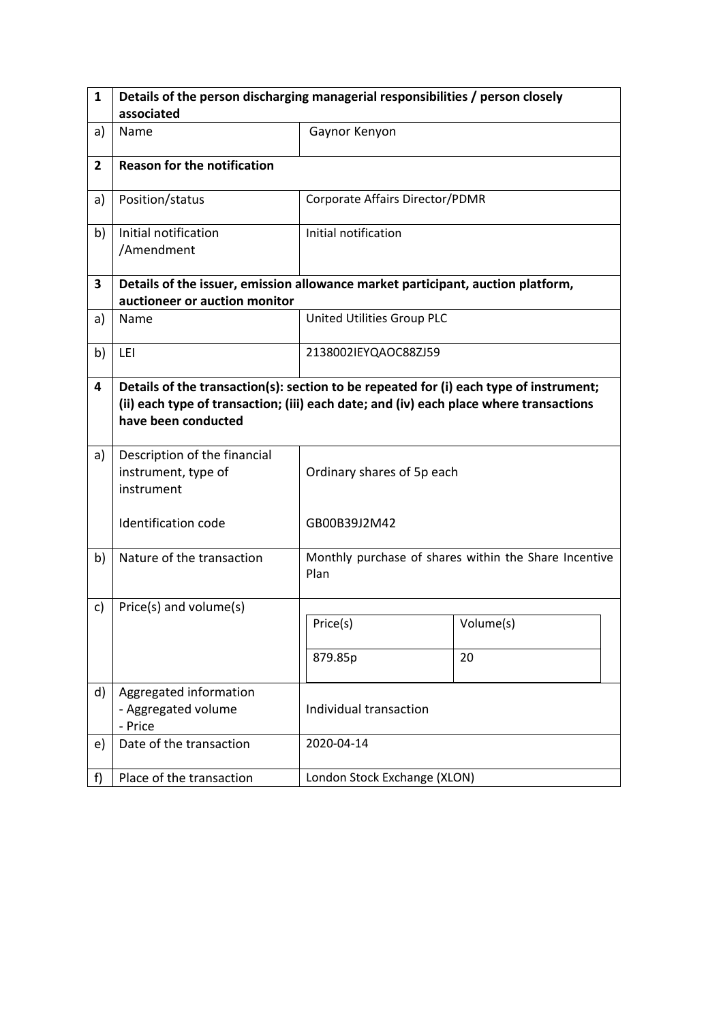| $\mathbf{1}$   | Details of the person discharging managerial responsibilities / person closely                                                                                                                          |                                 |                                                       |  |  |  |
|----------------|---------------------------------------------------------------------------------------------------------------------------------------------------------------------------------------------------------|---------------------------------|-------------------------------------------------------|--|--|--|
|                | associated                                                                                                                                                                                              |                                 |                                                       |  |  |  |
| a)             | Name                                                                                                                                                                                                    | Gaynor Kenyon                   |                                                       |  |  |  |
| $\overline{2}$ | <b>Reason for the notification</b>                                                                                                                                                                      |                                 |                                                       |  |  |  |
| a)             | Position/status                                                                                                                                                                                         | Corporate Affairs Director/PDMR |                                                       |  |  |  |
| b)             | Initial notification<br>/Amendment                                                                                                                                                                      | Initial notification            |                                                       |  |  |  |
| 3              | Details of the issuer, emission allowance market participant, auction platform,<br>auctioneer or auction monitor                                                                                        |                                 |                                                       |  |  |  |
| a)             | Name                                                                                                                                                                                                    | United Utilities Group PLC      |                                                       |  |  |  |
| b)             | LEI                                                                                                                                                                                                     | 2138002IEYQAOC88ZJ59            |                                                       |  |  |  |
| 4              | Details of the transaction(s): section to be repeated for (i) each type of instrument;<br>(ii) each type of transaction; (iii) each date; and (iv) each place where transactions<br>have been conducted |                                 |                                                       |  |  |  |
| a)             | Description of the financial<br>instrument, type of<br>instrument                                                                                                                                       | Ordinary shares of 5p each      |                                                       |  |  |  |
|                | Identification code                                                                                                                                                                                     | GB00B39J2M42                    |                                                       |  |  |  |
| b)             | Nature of the transaction                                                                                                                                                                               | Plan                            | Monthly purchase of shares within the Share Incentive |  |  |  |
| c)             | Price(s) and volume(s)                                                                                                                                                                                  |                                 |                                                       |  |  |  |
|                |                                                                                                                                                                                                         | Price(s)                        | Volume(s)                                             |  |  |  |
|                |                                                                                                                                                                                                         | 879.85p                         | 20                                                    |  |  |  |
| d)             | Aggregated information<br>- Aggregated volume<br>- Price                                                                                                                                                | Individual transaction          |                                                       |  |  |  |
| e)             | Date of the transaction                                                                                                                                                                                 | 2020-04-14                      |                                                       |  |  |  |
| f)             | Place of the transaction                                                                                                                                                                                | London Stock Exchange (XLON)    |                                                       |  |  |  |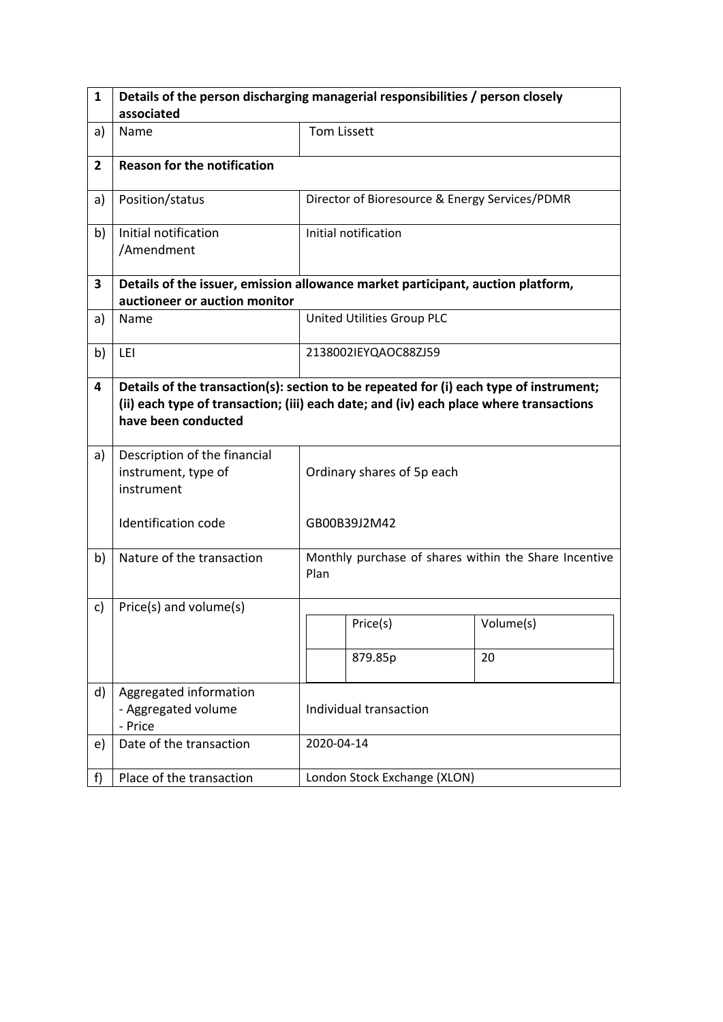| $\mathbf{1}$   | Details of the person discharging managerial responsibilities / person closely                                                                                                                          |                            |                                                       |           |  |
|----------------|---------------------------------------------------------------------------------------------------------------------------------------------------------------------------------------------------------|----------------------------|-------------------------------------------------------|-----------|--|
|                | associated                                                                                                                                                                                              |                            |                                                       |           |  |
| a)             | Name                                                                                                                                                                                                    | <b>Tom Lissett</b>         |                                                       |           |  |
| $\overline{2}$ | <b>Reason for the notification</b>                                                                                                                                                                      |                            |                                                       |           |  |
| a)             | Position/status                                                                                                                                                                                         |                            | Director of Bioresource & Energy Services/PDMR        |           |  |
| b)             | Initial notification<br>/Amendment                                                                                                                                                                      |                            | Initial notification                                  |           |  |
| 3              | Details of the issuer, emission allowance market participant, auction platform,<br>auctioneer or auction monitor                                                                                        |                            |                                                       |           |  |
| a)             | Name                                                                                                                                                                                                    |                            | United Utilities Group PLC                            |           |  |
| b)             | LEI                                                                                                                                                                                                     |                            | 2138002IEYQAOC88ZJ59                                  |           |  |
| 4              | Details of the transaction(s): section to be repeated for (i) each type of instrument;<br>(ii) each type of transaction; (iii) each date; and (iv) each place where transactions<br>have been conducted |                            |                                                       |           |  |
| a)             | Description of the financial<br>instrument, type of<br>instrument                                                                                                                                       | Ordinary shares of 5p each |                                                       |           |  |
|                | <b>Identification code</b>                                                                                                                                                                              | GB00B39J2M42               |                                                       |           |  |
| b)             | Nature of the transaction                                                                                                                                                                               | Plan                       | Monthly purchase of shares within the Share Incentive |           |  |
| c)             | Price(s) and volume(s)                                                                                                                                                                                  |                            |                                                       |           |  |
|                |                                                                                                                                                                                                         |                            | Price(s)                                              | Volume(s) |  |
|                |                                                                                                                                                                                                         |                            | 879.85p                                               | 20        |  |
| d)             | Aggregated information<br>- Aggregated volume<br>- Price                                                                                                                                                | Individual transaction     |                                                       |           |  |
| e)             | Date of the transaction                                                                                                                                                                                 |                            | 2020-04-14                                            |           |  |
| f)             | Place of the transaction                                                                                                                                                                                |                            | London Stock Exchange (XLON)                          |           |  |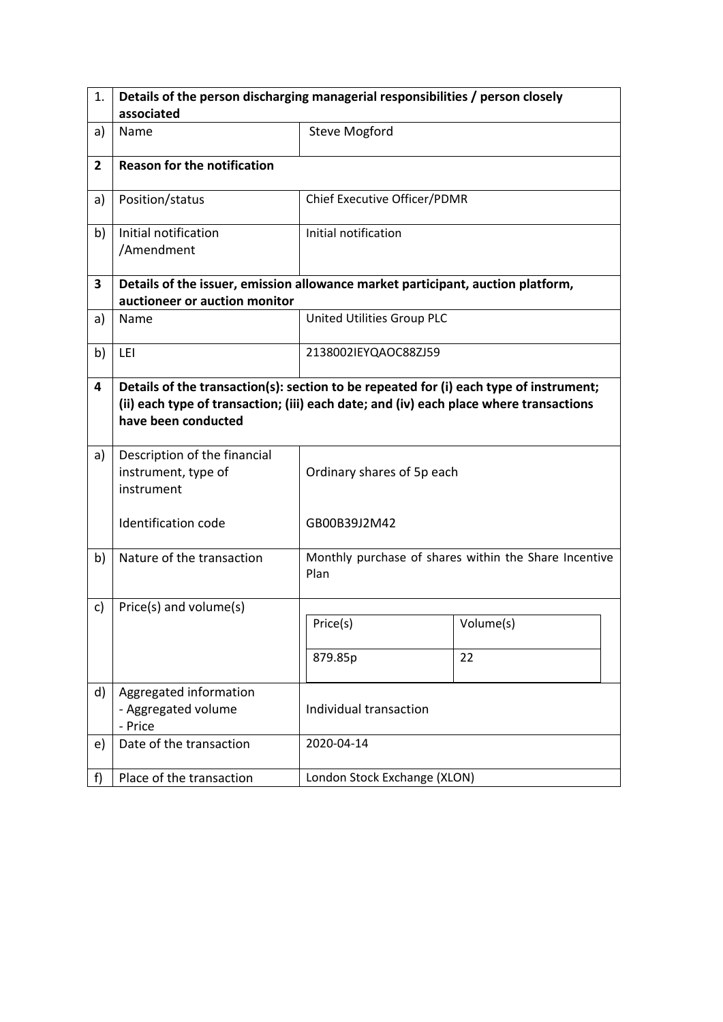| 1.             | Details of the person discharging managerial responsibilities / person closely                                                                                                                          |                              |                                                       |  |  |  |
|----------------|---------------------------------------------------------------------------------------------------------------------------------------------------------------------------------------------------------|------------------------------|-------------------------------------------------------|--|--|--|
|                | associated                                                                                                                                                                                              |                              |                                                       |  |  |  |
| a)             | Name                                                                                                                                                                                                    | <b>Steve Mogford</b>         |                                                       |  |  |  |
| $\overline{2}$ | <b>Reason for the notification</b>                                                                                                                                                                      |                              |                                                       |  |  |  |
| a)             | Position/status                                                                                                                                                                                         | Chief Executive Officer/PDMR |                                                       |  |  |  |
| b)             | Initial notification<br>/Amendment                                                                                                                                                                      | Initial notification         |                                                       |  |  |  |
| 3              | Details of the issuer, emission allowance market participant, auction platform,<br>auctioneer or auction monitor                                                                                        |                              |                                                       |  |  |  |
| a)             | Name                                                                                                                                                                                                    | United Utilities Group PLC   |                                                       |  |  |  |
| b)             | LEI                                                                                                                                                                                                     | 2138002IEYQAOC88ZJ59         |                                                       |  |  |  |
| 4              | Details of the transaction(s): section to be repeated for (i) each type of instrument;<br>(ii) each type of transaction; (iii) each date; and (iv) each place where transactions<br>have been conducted |                              |                                                       |  |  |  |
| a)             | Description of the financial<br>instrument, type of<br>instrument                                                                                                                                       | Ordinary shares of 5p each   |                                                       |  |  |  |
|                | <b>Identification code</b>                                                                                                                                                                              | GB00B39J2M42                 |                                                       |  |  |  |
| b)             | Nature of the transaction                                                                                                                                                                               | Plan                         | Monthly purchase of shares within the Share Incentive |  |  |  |
| c)             | Price(s) and volume(s)                                                                                                                                                                                  |                              |                                                       |  |  |  |
|                |                                                                                                                                                                                                         | Price(s)                     | Volume(s)                                             |  |  |  |
|                |                                                                                                                                                                                                         | 879.85p                      | 22                                                    |  |  |  |
| d)             | Aggregated information<br>- Aggregated volume<br>- Price                                                                                                                                                | Individual transaction       |                                                       |  |  |  |
| e)             | Date of the transaction                                                                                                                                                                                 | 2020-04-14                   |                                                       |  |  |  |
| f)             | Place of the transaction                                                                                                                                                                                | London Stock Exchange (XLON) |                                                       |  |  |  |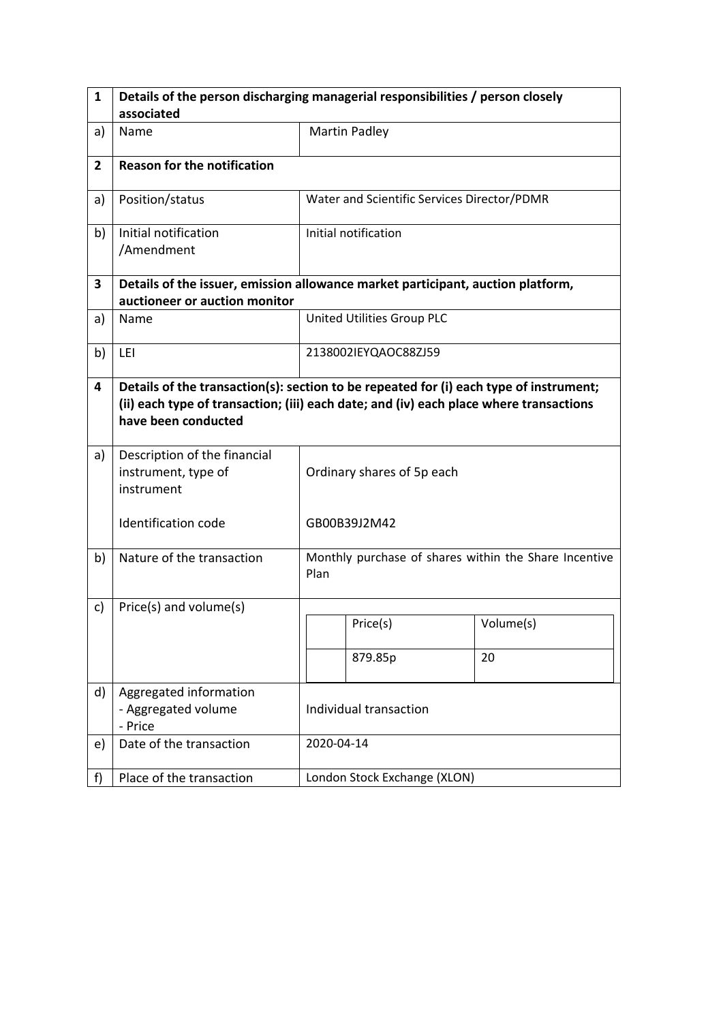| 1              | Details of the person discharging managerial responsibilities / person closely                                                                                                                          |                            |                                                       |           |  |
|----------------|---------------------------------------------------------------------------------------------------------------------------------------------------------------------------------------------------------|----------------------------|-------------------------------------------------------|-----------|--|
|                | associated                                                                                                                                                                                              |                            |                                                       |           |  |
| a)             | Name                                                                                                                                                                                                    |                            | <b>Martin Padley</b>                                  |           |  |
| $\overline{2}$ | <b>Reason for the notification</b>                                                                                                                                                                      |                            |                                                       |           |  |
| a)             | Position/status                                                                                                                                                                                         |                            | Water and Scientific Services Director/PDMR           |           |  |
| b)             | Initial notification<br>/Amendment                                                                                                                                                                      |                            | Initial notification                                  |           |  |
| 3              | Details of the issuer, emission allowance market participant, auction platform,<br>auctioneer or auction monitor                                                                                        |                            |                                                       |           |  |
| a)             | Name                                                                                                                                                                                                    |                            | United Utilities Group PLC                            |           |  |
| b)             | LEI                                                                                                                                                                                                     |                            | 2138002IEYQAOC88ZJ59                                  |           |  |
| 4              | Details of the transaction(s): section to be repeated for (i) each type of instrument;<br>(ii) each type of transaction; (iii) each date; and (iv) each place where transactions<br>have been conducted |                            |                                                       |           |  |
| a)             | Description of the financial<br>instrument, type of<br>instrument                                                                                                                                       | Ordinary shares of 5p each |                                                       |           |  |
|                | <b>Identification code</b>                                                                                                                                                                              |                            | GB00B39J2M42                                          |           |  |
| b)             | Nature of the transaction                                                                                                                                                                               | Plan                       | Monthly purchase of shares within the Share Incentive |           |  |
| c)             | Price(s) and volume(s)                                                                                                                                                                                  |                            |                                                       |           |  |
|                |                                                                                                                                                                                                         |                            | Price(s)                                              | Volume(s) |  |
|                |                                                                                                                                                                                                         |                            | 879.85p                                               | 20        |  |
| d)             | Aggregated information<br>- Aggregated volume<br>- Price                                                                                                                                                | Individual transaction     |                                                       |           |  |
| e)             | Date of the transaction                                                                                                                                                                                 |                            | 2020-04-14                                            |           |  |
| f)             | Place of the transaction                                                                                                                                                                                |                            | London Stock Exchange (XLON)                          |           |  |